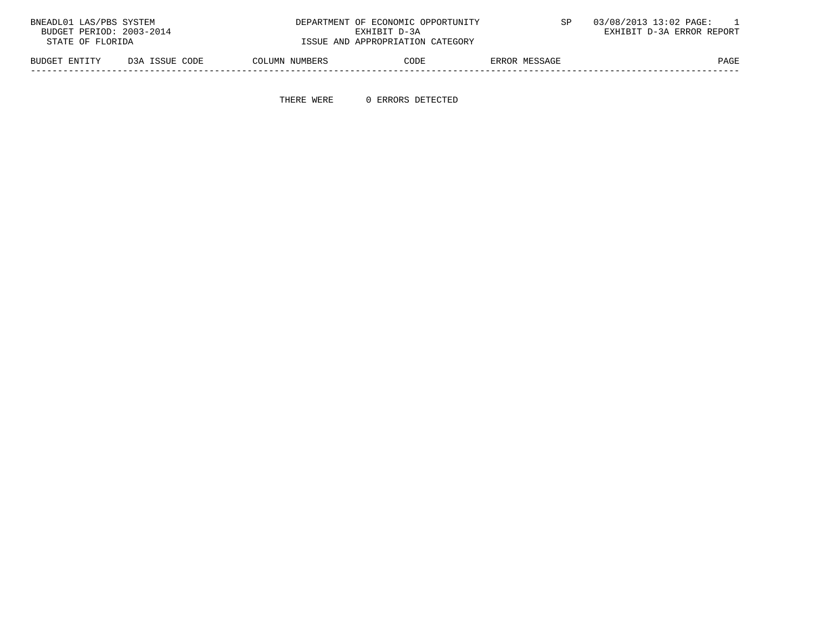| BUDGET PERIOD: 2003-2014<br>EXHIBIT D-3A ERROR REPORT<br>RXHIRIT D-3A      |      |
|----------------------------------------------------------------------------|------|
| ISSUE AND APPROPRIATION CATEGORY<br>STATE OF FLORIDA                       |      |
| D3A ISSUE CODE<br>ERROR MESSAGE<br>COLUMN NUMBERS<br>BUDGET ENTITY<br>CODE | PAGE |

THERE WERE 0 ERRORS DETECTED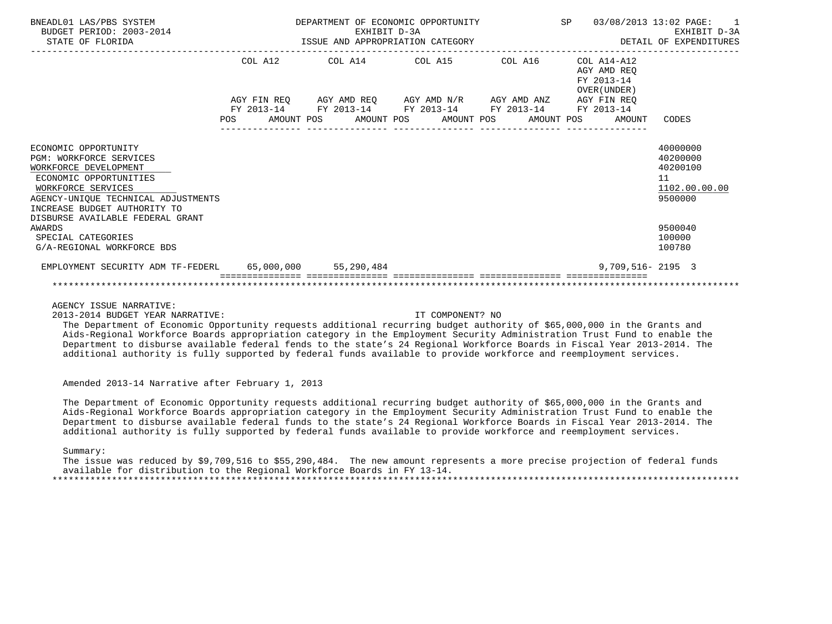| BNEADL01 LAS/PBS SYSTEM<br>BUDGET PERIOD: 2003-2014<br>STATE OF FLORIDA                                                                                                                                | DEPARTMENT OF ECONOMIC OPPORTUNITY<br>EXHIBIT D-3A<br>EXHIBIT D-3A<br>ISSUE AND APPROPRIATION CATEGORY |  |                                 |                                  |  |  |                                                                                                                       | SP 03/08/2013 13:02 PAGE: 1<br>EXHIBIT D-3A<br>DETAIL OF EXPENDITURES |                                                             |                                                                    |  |
|--------------------------------------------------------------------------------------------------------------------------------------------------------------------------------------------------------|--------------------------------------------------------------------------------------------------------|--|---------------------------------|----------------------------------|--|--|-----------------------------------------------------------------------------------------------------------------------|-----------------------------------------------------------------------|-------------------------------------------------------------|--------------------------------------------------------------------|--|
|                                                                                                                                                                                                        |                                                                                                        |  | COL A12 COL A14 COL A15 COL A16 |                                  |  |  |                                                                                                                       |                                                                       | $COL A14- A12$<br>AGY AMD REO<br>FY 2013-14<br>OVER (UNDER) |                                                                    |  |
|                                                                                                                                                                                                        | <b>POS</b>                                                                                             |  |                                 | AMOUNT POS AMOUNT POS AMOUNT POS |  |  | AGY FIN REO AGY AMD REO AGY AMD N/R AGY AMD ANZ AGY FIN REO<br>FY 2013-14 FY 2013-14 FY 2013-14 FY 2013-14 FY 2013-14 |                                                                       | AMOUNT POS<br>AMOUNT                                        | CODES                                                              |  |
| ECONOMIC OPPORTUNITY<br><b>PGM: WORKFORCE SERVICES</b><br>WORKFORCE DEVELOPMENT<br>ECONOMIC OPPORTUNITIES<br>WORKFORCE SERVICES<br>AGENCY-UNIOUE TECHNICAL ADJUSTMENTS<br>INCREASE BUDGET AUTHORITY TO |                                                                                                        |  |                                 |                                  |  |  |                                                                                                                       |                                                                       |                                                             | 40000000<br>40200000<br>40200100<br>11<br>1102.00.00.00<br>9500000 |  |
| DISBURSE AVAILABLE FEDERAL GRANT<br>AWARDS<br>SPECIAL CATEGORIES<br>G/A-REGIONAL WORKFORCE BDS                                                                                                         |                                                                                                        |  |                                 |                                  |  |  |                                                                                                                       |                                                                       |                                                             | 9500040<br>100000<br>100780                                        |  |
| EMPLOYMENT SECURITY ADM TF-FEDERL 65,000,000 55,290,484                                                                                                                                                |                                                                                                        |  |                                 |                                  |  |  |                                                                                                                       |                                                                       | $9.709.516 - 2195$ 3                                        |                                                                    |  |

2013-2014 BUDGET YEAR NARRATIVE: IT COMPONENT? NO

 The Department of Economic Opportunity requests additional recurring budget authority of \$65,000,000 in the Grants and Aids-Regional Workforce Boards appropriation category in the Employment Security Administration Trust Fund to enable the Department to disburse available federal fends to the state's 24 Regional Workforce Boards in Fiscal Year 2013-2014. The additional authority is fully supported by federal funds available to provide workforce and reemployment services.

Amended 2013-14 Narrative after February 1, 2013

 The Department of Economic Opportunity requests additional recurring budget authority of \$65,000,000 in the Grants and Aids-Regional Workforce Boards appropriation category in the Employment Security Administration Trust Fund to enable the Department to disburse available federal funds to the state's 24 Regional Workforce Boards in Fiscal Year 2013-2014. The additional authority is fully supported by federal funds available to provide workforce and reemployment services.

Summary:

 The issue was reduced by \$9,709,516 to \$55,290,484. The new amount represents a more precise projection of federal funds available for distribution to the Regional Workforce Boards in FY 13-14. \*\*\*\*\*\*\*\*\*\*\*\*\*\*\*\*\*\*\*\*\*\*\*\*\*\*\*\*\*\*\*\*\*\*\*\*\*\*\*\*\*\*\*\*\*\*\*\*\*\*\*\*\*\*\*\*\*\*\*\*\*\*\*\*\*\*\*\*\*\*\*\*\*\*\*\*\*\*\*\*\*\*\*\*\*\*\*\*\*\*\*\*\*\*\*\*\*\*\*\*\*\*\*\*\*\*\*\*\*\*\*\*\*\*\*\*\*\*\*\*\*\*\*\*\*\*\*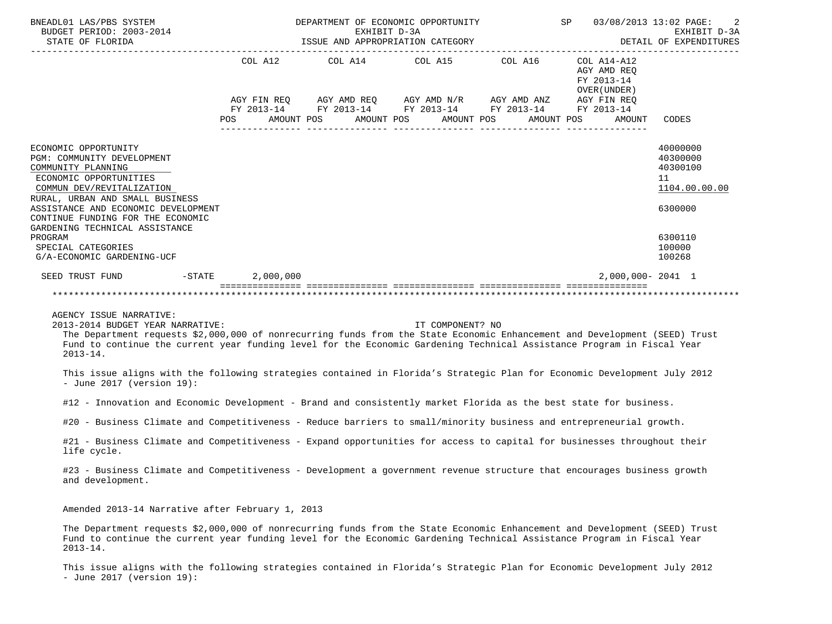| BNEADL01 LAS/PBS SYSTEM<br>BUDGET PERIOD: 2003-2014<br>STATE OF FLORIDA                                     | ISSUE AND APPROPRIATION CATEGORY | 2<br>03/08/2013 13:02 PAGE:<br>EXHIBIT D-3A<br>DETAIL OF EXPENDITURES |                          |                                                              |                                  |
|-------------------------------------------------------------------------------------------------------------|----------------------------------|-----------------------------------------------------------------------|--------------------------|--------------------------------------------------------------|----------------------------------|
|                                                                                                             | COL A12                          | COL A14 COL A15                                                       | COL A16                  | $COL A14 - A12$<br>AGY AMD REO<br>FY 2013-14<br>OVER (UNDER) |                                  |
|                                                                                                             |                                  | AGY FIN REO AGY AMD REO AGY AMD N/R AGY AMD ANZ                       |                          | AGY FIN REO                                                  |                                  |
|                                                                                                             | FY 2013-14<br>POS.               | FY 2013-14 FY 2013-14 FY 2013-14<br>AMOUNT POS<br>AMOUNT POS          | AMOUNT POS<br>AMOUNT POS | FY 2013-14<br>AMOUNT                                         | CODES                            |
| ECONOMIC OPPORTUNITY<br>PGM: COMMUNITY DEVELOPMENT<br>COMMUNITY PLANNING                                    |                                  |                                                                       |                          |                                                              | 40000000<br>40300000<br>40300100 |
| ECONOMIC OPPORTUNITIES<br>COMMUN DEV/REVITALIZATION                                                         |                                  |                                                                       |                          |                                                              | 11<br>1104.00.00.00              |
| RURAL, URBAN AND SMALL BUSINESS<br>ASSISTANCE AND ECONOMIC DEVELOPMENT<br>CONTINUE FUNDING FOR THE ECONOMIC |                                  |                                                                       |                          |                                                              | 6300000                          |
| GARDENING TECHNICAL ASSISTANCE<br>PROGRAM<br>SPECIAL CATEGORIES<br>G/A-ECONOMIC GARDENING-UCF               |                                  |                                                                       |                          |                                                              | 6300110<br>100000<br>100268      |
| $-$ STATE<br>SEED TRUST FUND                                                                                | 2,000,000                        |                                                                       |                          | $2,000,000 - 2041$ 1                                         |                                  |
|                                                                                                             |                                  |                                                                       |                          |                                                              |                                  |

2013-2014 BUDGET YEAR NARRATIVE: IT COMPONENT? NO

 The Department requests \$2,000,000 of nonrecurring funds from the State Economic Enhancement and Development (SEED) Trust Fund to continue the current year funding level for the Economic Gardening Technical Assistance Program in Fiscal Year 2013-14.

 This issue aligns with the following strategies contained in Florida's Strategic Plan for Economic Development July 2012 - June 2017 (version 19):

#12 - Innovation and Economic Development - Brand and consistently market Florida as the best state for business.

#20 - Business Climate and Competitiveness - Reduce barriers to small/minority business and entrepreneurial growth.

 #21 - Business Climate and Competitiveness - Expand opportunities for access to capital for businesses throughout their life cycle.

 #23 - Business Climate and Competitiveness - Development a government revenue structure that encourages business growth and development.

Amended 2013-14 Narrative after February 1, 2013

 The Department requests \$2,000,000 of nonrecurring funds from the State Economic Enhancement and Development (SEED) Trust Fund to continue the current year funding level for the Economic Gardening Technical Assistance Program in Fiscal Year 2013-14.

 This issue aligns with the following strategies contained in Florida's Strategic Plan for Economic Development July 2012 - June 2017 (version 19):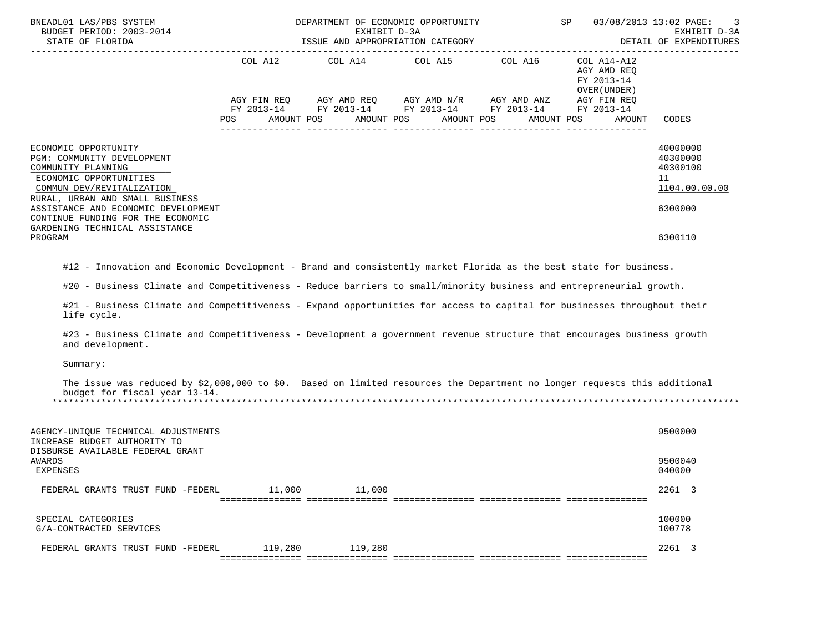| BNEADL01 LAS/PBS SYSTEM<br>BUDGET PERIOD: 2003-2014<br>STATE OF FLORIDA                                                                                                                                                                                                                                                                                                                                                                                                                                                                       |         | DEPARTMENT OF ECONOMIC OPPORTUNITY SP<br>EXHIBIT D-3A<br>ISSUE AND APPROPRIATION CATEGORY                                                                              |            |            |                                                                                   | 03/08/2013 13:02 PAGE:<br>3<br>EXHIBIT D-3A<br>DETAIL OF EXPENDITURES         |  |  |
|-----------------------------------------------------------------------------------------------------------------------------------------------------------------------------------------------------------------------------------------------------------------------------------------------------------------------------------------------------------------------------------------------------------------------------------------------------------------------------------------------------------------------------------------------|---------|------------------------------------------------------------------------------------------------------------------------------------------------------------------------|------------|------------|-----------------------------------------------------------------------------------|-------------------------------------------------------------------------------|--|--|
|                                                                                                                                                                                                                                                                                                                                                                                                                                                                                                                                               | POS     | COL A12 COL A14 COL A15 COL A16<br>AGY FIN REQ AGY AMD REQ AGY AMD N/R AGY AMD ANZ AGY FIN REQ<br>FY 2013-14 FY 2013-14 FY 2013-14 FY 2013-14 FY 2013-14<br>AMOUNT POS | AMOUNT POS | AMOUNT POS | COL A14-A12<br>AGY AMD REQ<br>FY 2013-14<br>OVER (UNDER )<br>AMOUNT POS<br>AMOUNT | CODES                                                                         |  |  |
| ECONOMIC OPPORTUNITY<br>PGM: COMMUNITY DEVELOPMENT<br>COMMUNITY PLANNING<br>ECONOMIC OPPORTUNITIES<br>COMMUN DEV/REVITALIZATION<br>RURAL, URBAN AND SMALL BUSINESS<br>ASSISTANCE AND ECONOMIC DEVELOPMENT<br>CONTINUE FUNDING FOR THE ECONOMIC<br>GARDENING TECHNICAL ASSISTANCE<br>PROGRAM                                                                                                                                                                                                                                                   |         |                                                                                                                                                                        |            |            |                                                                                   | 40000000<br>40300000<br>40300100<br>11<br>1104.00.00.00<br>6300000<br>6300110 |  |  |
| #12 - Innovation and Economic Development - Brand and consistently market Florida as the best state for business.<br>#20 - Business Climate and Competitiveness - Reduce barriers to small/minority business and entrepreneurial growth.<br>#21 - Business Climate and Competitiveness - Expand opportunities for access to capital for businesses throughout their<br>life cycle.<br>#23 - Business Climate and Competitiveness - Development a government revenue structure that encourages business growth<br>and development.<br>Summary: |         |                                                                                                                                                                        |            |            |                                                                                   |                                                                               |  |  |
| The issue was reduced by \$2,000,000 to \$0. Based on limited resources the Department no longer requests this additional<br>budget for fiscal year 13-14.                                                                                                                                                                                                                                                                                                                                                                                    |         |                                                                                                                                                                        |            |            |                                                                                   |                                                                               |  |  |
| AGENCY-UNIQUE TECHNICAL ADJUSTMENTS<br>INCREASE BUDGET AUTHORITY TO<br>DISBURSE AVAILABLE FEDERAL GRANT<br>AWARDS<br>EXPENSES                                                                                                                                                                                                                                                                                                                                                                                                                 |         |                                                                                                                                                                        |            |            |                                                                                   | 9500000<br>9500040<br>040000                                                  |  |  |
| FEDERAL GRANTS TRUST FUND -FEDERL                                                                                                                                                                                                                                                                                                                                                                                                                                                                                                             | 11,000  | 11,000                                                                                                                                                                 |            |            |                                                                                   | 2261 3                                                                        |  |  |
| SPECIAL CATEGORIES<br>G/A-CONTRACTED SERVICES                                                                                                                                                                                                                                                                                                                                                                                                                                                                                                 |         |                                                                                                                                                                        |            |            |                                                                                   | 100000<br>100778                                                              |  |  |
| FEDERAL GRANTS TRUST FUND -FEDERL                                                                                                                                                                                                                                                                                                                                                                                                                                                                                                             | 119,280 | 119,280                                                                                                                                                                |            |            |                                                                                   | 2261 3                                                                        |  |  |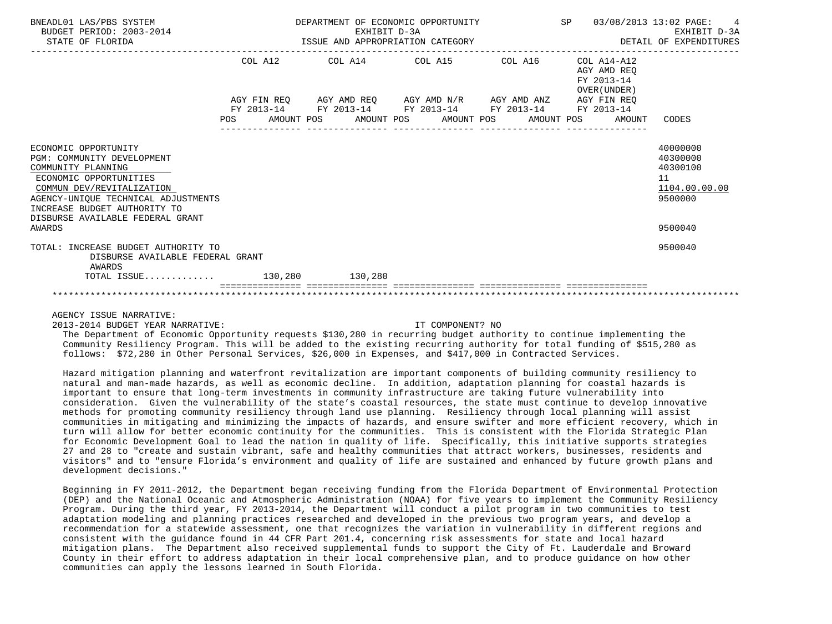| BNEADL01 LAS/PBS SYSTEM<br>BUDGET PERIOD: 2003-2014<br>STATE OF FLORIDA                                                                                                                                                                    | DEPARTMENT OF ECONOMIC OPPORTUNITY<br>SP 03/08/2013 13:02 PAGE:<br>EXHIBIT D-3A<br>ISSUE AND APPROPRIATION CATEGORY<br>DETAIL OF EXPENDITURES |  |  |  |  |                                                                                                                        |  | 4<br>EXHIBIT D-3A |                                                          |                                                                    |
|--------------------------------------------------------------------------------------------------------------------------------------------------------------------------------------------------------------------------------------------|-----------------------------------------------------------------------------------------------------------------------------------------------|--|--|--|--|------------------------------------------------------------------------------------------------------------------------|--|-------------------|----------------------------------------------------------|--------------------------------------------------------------------|
|                                                                                                                                                                                                                                            |                                                                                                                                               |  |  |  |  | COL A12 COL A14 COL A15 COL A16                                                                                        |  |                   | COL A14-A12<br>AGY AMD REO<br>FY 2013-14<br>OVER (UNDER) |                                                                    |
|                                                                                                                                                                                                                                            |                                                                                                                                               |  |  |  |  | AGY FIN REQ AGY AMD REQ AGY AMD N/R AGY AMD ANZ AGY FIN REQ                                                            |  |                   |                                                          |                                                                    |
|                                                                                                                                                                                                                                            |                                                                                                                                               |  |  |  |  | FY 2013-14 FY 2013-14 FY 2013-14 FY 2013-14 FY 2013-14<br>POS AMOUNT POS AMOUNT POS AMOUNT POS AMOUNT POS AMOUNT CODES |  |                   |                                                          |                                                                    |
| ECONOMIC OPPORTUNITY<br>PGM: COMMUNITY DEVELOPMENT<br>COMMUNITY PLANNING<br>ECONOMIC OPPORTUNITIES<br>COMMUN DEV/REVITALIZATION<br>AGENCY-UNIQUE TECHNICAL ADJUSTMENTS<br>INCREASE BUDGET AUTHORITY TO<br>DISBURSE AVAILABLE FEDERAL GRANT |                                                                                                                                               |  |  |  |  |                                                                                                                        |  |                   |                                                          | 40000000<br>40300000<br>40300100<br>11<br>1104.00.00.00<br>9500000 |
| AWARDS                                                                                                                                                                                                                                     |                                                                                                                                               |  |  |  |  |                                                                                                                        |  |                   |                                                          | 9500040                                                            |
| TOTAL: INCREASE BUDGET AUTHORITY TO<br>DISBURSE AVAILABLE FEDERAL GRANT<br>AWARDS                                                                                                                                                          |                                                                                                                                               |  |  |  |  |                                                                                                                        |  |                   |                                                          | 9500040                                                            |
| TOTAL ISSUE 130,280 130,280                                                                                                                                                                                                                |                                                                                                                                               |  |  |  |  |                                                                                                                        |  |                   |                                                          |                                                                    |
|                                                                                                                                                                                                                                            |                                                                                                                                               |  |  |  |  |                                                                                                                        |  |                   |                                                          |                                                                    |

2013-2014 BUDGET YEAR NARRATIVE: IT COMPONENT? NO

 The Department of Economic Opportunity requests \$130,280 in recurring budget authority to continue implementing the Community Resiliency Program. This will be added to the existing recurring authority for total funding of \$515,280 as follows: \$72,280 in Other Personal Services, \$26,000 in Expenses, and \$417,000 in Contracted Services.

 Hazard mitigation planning and waterfront revitalization are important components of building community resiliency to natural and man-made hazards, as well as economic decline. In addition, adaptation planning for coastal hazards is important to ensure that long-term investments in community infrastructure are taking future vulnerability into consideration. Given the vulnerability of the state's coastal resources, the state must continue to develop innovative methods for promoting community resiliency through land use planning. Resiliency through local planning will assist communities in mitigating and minimizing the impacts of hazards, and ensure swifter and more efficient recovery, which in turn will allow for better economic continuity for the communities. This is consistent with the Florida Strategic Plan for Economic Development Goal to lead the nation in quality of life. Specifically, this initiative supports strategies 27 and 28 to "create and sustain vibrant, safe and healthy communities that attract workers, businesses, residents and visitors" and to "ensure Florida's environment and quality of life are sustained and enhanced by future growth plans and development decisions."

 Beginning in FY 2011-2012, the Department began receiving funding from the Florida Department of Environmental Protection (DEP) and the National Oceanic and Atmospheric Administration (NOAA) for five years to implement the Community Resiliency Program. During the third year, FY 2013-2014, the Department will conduct a pilot program in two communities to test adaptation modeling and planning practices researched and developed in the previous two program years, and develop a recommendation for a statewide assessment, one that recognizes the variation in vulnerability in different regions and consistent with the guidance found in 44 CFR Part 201.4, concerning risk assessments for state and local hazard mitigation plans. The Department also received supplemental funds to support the City of Ft. Lauderdale and Broward County in their effort to address adaptation in their local comprehensive plan, and to produce guidance on how other communities can apply the lessons learned in South Florida.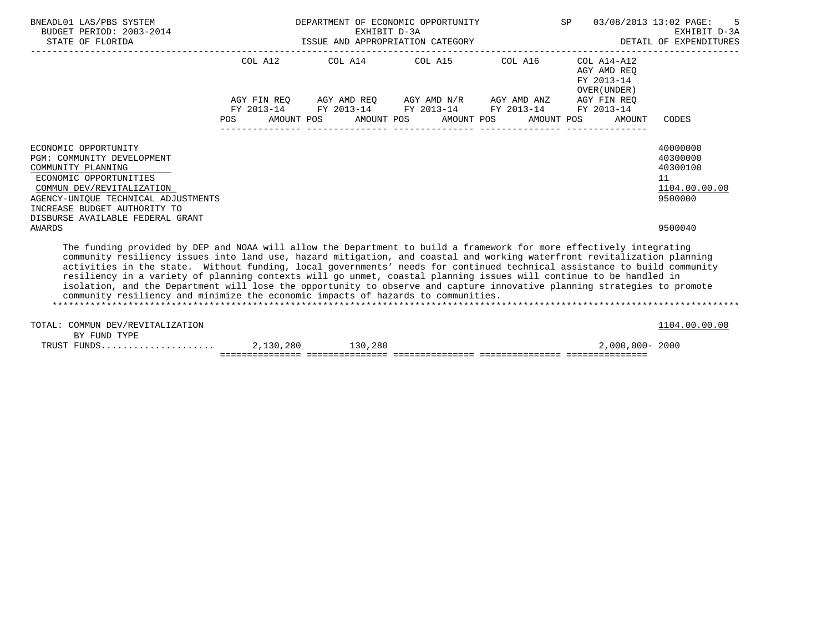| BNEADL01 LAS/PBS SYSTEM                                                                                                                                                                                                                                                                                                                                                                                                                                                                                                                                                                                                                                                                                             | DEPARTMENT OF ECONOMIC OPPORTUNITY<br>BUDGET PERIOD: 2003-2014 EXHIBIT D-3A<br>STATE OF FLORIDA STATE OF STATE OF STATES AND APPROPRIATION CATEGORY |  |  |  |  |                                                                                                   |  |  |  | SP 03/08/2013 13:02 PAGE: 5<br>EXHIBIT D-3A<br>DETAIL OF EXPENDITURES |                                                                    |  |
|---------------------------------------------------------------------------------------------------------------------------------------------------------------------------------------------------------------------------------------------------------------------------------------------------------------------------------------------------------------------------------------------------------------------------------------------------------------------------------------------------------------------------------------------------------------------------------------------------------------------------------------------------------------------------------------------------------------------|-----------------------------------------------------------------------------------------------------------------------------------------------------|--|--|--|--|---------------------------------------------------------------------------------------------------|--|--|--|-----------------------------------------------------------------------|--------------------------------------------------------------------|--|
|                                                                                                                                                                                                                                                                                                                                                                                                                                                                                                                                                                                                                                                                                                                     |                                                                                                                                                     |  |  |  |  | COL A12 COL A14 COL A15 COL A16                                                                   |  |  |  | COL A14-A12<br>AGY AMD REO<br>FY 2013-14<br>OVER (UNDER)              |                                                                    |  |
|                                                                                                                                                                                                                                                                                                                                                                                                                                                                                                                                                                                                                                                                                                                     |                                                                                                                                                     |  |  |  |  | AGY FIN REQ AGY AMD REQ AGY AMD N/R AGY AMD ANZ AGY FIN REQ                                       |  |  |  |                                                                       |                                                                    |  |
|                                                                                                                                                                                                                                                                                                                                                                                                                                                                                                                                                                                                                                                                                                                     | <b>POS</b>                                                                                                                                          |  |  |  |  | FY 2013-14 FY 2013-14 FY 2013-14 FY 2013-14<br>AMOUNT POS AMOUNT POS AMOUNT POS AMOUNT POS AMOUNT |  |  |  | FY 2013-14                                                            | CODES                                                              |  |
| ECONOMIC OPPORTUNITY<br>PGM: COMMUNITY DEVELOPMENT<br>COMMUNITY PLANNING<br>ECONOMIC OPPORTUNITIES<br>COMMUN DEV/REVITALIZATION<br>AGENCY-UNIQUE TECHNICAL ADJUSTMENTS<br>INCREASE BUDGET AUTHORITY TO                                                                                                                                                                                                                                                                                                                                                                                                                                                                                                              |                                                                                                                                                     |  |  |  |  |                                                                                                   |  |  |  |                                                                       | 40000000<br>40300000<br>40300100<br>11<br>1104.00.00.00<br>9500000 |  |
| DISBURSE AVAILABLE FEDERAL GRANT<br>AWARDS                                                                                                                                                                                                                                                                                                                                                                                                                                                                                                                                                                                                                                                                          |                                                                                                                                                     |  |  |  |  |                                                                                                   |  |  |  |                                                                       | 9500040                                                            |  |
| The funding provided by DEP and NOAA will allow the Department to build a framework for more effectively integrating<br>community resiliency issues into land use, hazard mitigation, and coastal and working waterfront revitalization planning<br>activities in the state. Without funding, local governments' needs for continued technical assistance to build community<br>resiliency in a variety of planning contexts will go unmet, coastal planning issues will continue to be handled in<br>isolation, and the Department will lose the opportunity to observe and capture innovative planning strategies to promote<br>community resiliency and minimize the economic impacts of hazards to communities. |                                                                                                                                                     |  |  |  |  |                                                                                                   |  |  |  |                                                                       |                                                                    |  |

\*\*\*\*\*\*\*\*\*\*\*\*\*\*\*\*\*\*\*\*\*\*\*\*\*\*\*\*\*\*\*\*\*\*\*\*\*\*\*\*\*\*\*\*\*\*\*\*\*\*\*\*\*\*\*\*\*\*\*\*\*\*\*\*\*\*\*\*\*\*\*\*\*\*\*\*\*\*\*\*\*\*\*\*\*\*\*\*\*\*\*\*\*\*\*\*\*\*\*\*\*\*\*\*\*\*\*\*\*\*\*\*\*\*\*\*\*\*\*\*\*\*\*\*\*\*\*

| TOTAL: COMMUN DEV/REVITALIZATION |           |         | '104.00.00.00   |
|----------------------------------|-----------|---------|-----------------|
| BY FUND TYPE                     |           |         |                 |
| FUNDS.<br>TRIIST                 | 2,130,280 | 130,280 | 2,000,000- 2000 |
|                                  |           |         |                 |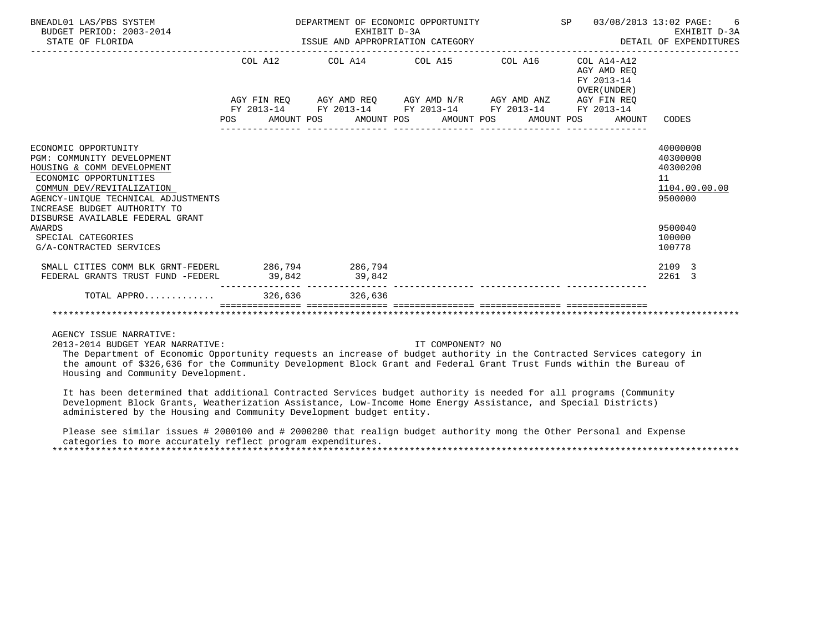| BNEADL01 LAS/PBS SYSTEM<br>BUDGET PERIOD: 2003-2014<br>STATE OF FLORIDA                                                                                                                                                                            | DEPARTMENT OF ECONOMIC OPPORTUNITY<br>EXHIBIT D-3A<br>EXHIBIT D-3A<br>ISSUE AND APPROPRIATION CATEGORY | SP 03/08/2013 13:02 PAGE: | 6<br>EXHIBIT D-3A<br>DETAIL OF EXPENDITURES                  |                                                                    |
|----------------------------------------------------------------------------------------------------------------------------------------------------------------------------------------------------------------------------------------------------|--------------------------------------------------------------------------------------------------------|---------------------------|--------------------------------------------------------------|--------------------------------------------------------------------|
|                                                                                                                                                                                                                                                    | COL A12 COL A14 COL A15 COL A16                                                                        |                           | COL A14-A12<br>AGY AMD REO<br>FY 2013-14<br>OVER (UNDER)     |                                                                    |
|                                                                                                                                                                                                                                                    | AGY FIN REQ AGY AMD REQ AGY AMD N/R AGY AMD ANZ AGY FIN REQ                                            |                           |                                                              |                                                                    |
|                                                                                                                                                                                                                                                    | FY 2013-14 FY 2013-14 FY 2013-14 FY 2013-14 FY 2013-14                                                 |                           |                                                              |                                                                    |
|                                                                                                                                                                                                                                                    |                                                                                                        |                           | POS AMOUNT POS AMOUNT POS AMOUNT POS AMOUNT POS AMOUNT CODES |                                                                    |
| ECONOMIC OPPORTUNITY<br>PGM: COMMUNITY DEVELOPMENT<br>HOUSING & COMM DEVELOPMENT<br>ECONOMIC OPPORTUNITIES<br>COMMUN DEV/REVITALIZATION<br>AGENCY-UNIOUE TECHNICAL ADJUSTMENTS<br>INCREASE BUDGET AUTHORITY TO<br>DISBURSE AVAILABLE FEDERAL GRANT |                                                                                                        |                           |                                                              | 40000000<br>40300000<br>40300200<br>11<br>1104.00.00.00<br>9500000 |
| AWARDS<br>SPECIAL CATEGORIES<br>G/A-CONTRACTED SERVICES                                                                                                                                                                                            |                                                                                                        |                           |                                                              | 9500040<br>100000<br>100778                                        |
| SMALL CITIES COMM BLK GRNT-FEDERL 286,794 286,794<br>FEDERAL GRANTS TRUST FUND -FEDERL                                                                                                                                                             | 39,842 39,842                                                                                          |                           |                                                              | 2109 3<br>2261 3                                                   |
|                                                                                                                                                                                                                                                    | .__________ __________________                                                                         |                           |                                                              |                                                                    |
|                                                                                                                                                                                                                                                    |                                                                                                        |                           |                                                              |                                                                    |

2013-2014 BUDGET YEAR NARRATIVE: IT COMPONENT? NO

 The Department of Economic Opportunity requests an increase of budget authority in the Contracted Services category in the amount of \$326,636 for the Community Development Block Grant and Federal Grant Trust Funds within the Bureau of Housing and Community Development.

 It has been determined that additional Contracted Services budget authority is needed for all programs (Community Development Block Grants, Weatherization Assistance, Low-Income Home Energy Assistance, and Special Districts) administered by the Housing and Community Development budget entity.

 Please see similar issues # 2000100 and # 2000200 that realign budget authority mong the Other Personal and Expense categories to more accurately reflect program expenditures. \*\*\*\*\*\*\*\*\*\*\*\*\*\*\*\*\*\*\*\*\*\*\*\*\*\*\*\*\*\*\*\*\*\*\*\*\*\*\*\*\*\*\*\*\*\*\*\*\*\*\*\*\*\*\*\*\*\*\*\*\*\*\*\*\*\*\*\*\*\*\*\*\*\*\*\*\*\*\*\*\*\*\*\*\*\*\*\*\*\*\*\*\*\*\*\*\*\*\*\*\*\*\*\*\*\*\*\*\*\*\*\*\*\*\*\*\*\*\*\*\*\*\*\*\*\*\*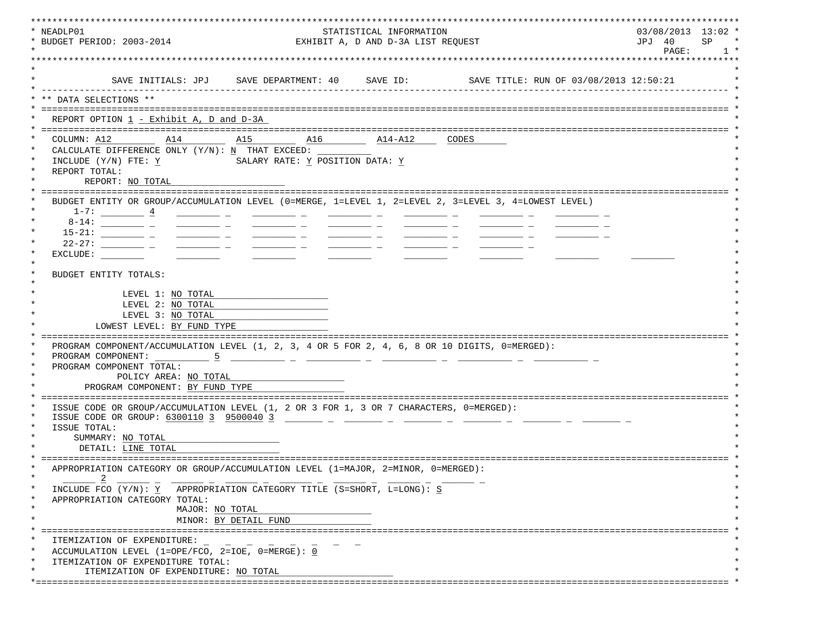| * NEADLP01<br>STATISTICAL INFORMATION<br>* BUDGET PERIOD: 2003-2014<br>EXHIBIT A, D AND D-3A LIST REQUEST                                                                                                                                                                                                                                                                                                                                                                                                                        | $03/08/2013$ 13:02 *<br>SP<br>JPJ 40 |
|----------------------------------------------------------------------------------------------------------------------------------------------------------------------------------------------------------------------------------------------------------------------------------------------------------------------------------------------------------------------------------------------------------------------------------------------------------------------------------------------------------------------------------|--------------------------------------|
|                                                                                                                                                                                                                                                                                                                                                                                                                                                                                                                                  | PAGE:<br>1 <sup>1</sup>              |
|                                                                                                                                                                                                                                                                                                                                                                                                                                                                                                                                  |                                      |
|                                                                                                                                                                                                                                                                                                                                                                                                                                                                                                                                  |                                      |
| SAVE TITLE: RUN OF 03/08/2013 12:50:21<br>SAVE INITIALS: JPJ SAVE DEPARTMENT: 40 SAVE ID:                                                                                                                                                                                                                                                                                                                                                                                                                                        |                                      |
| ** DATA SELECTIONS **                                                                                                                                                                                                                                                                                                                                                                                                                                                                                                            |                                      |
|                                                                                                                                                                                                                                                                                                                                                                                                                                                                                                                                  |                                      |
| REPORT OPTION $1$ - Exhibit A, D and D-3A                                                                                                                                                                                                                                                                                                                                                                                                                                                                                        |                                      |
|                                                                                                                                                                                                                                                                                                                                                                                                                                                                                                                                  |                                      |
| COLUMN: A12 A14<br>A15 A16<br>$\overline{\text{A14-A12}}$ CODES                                                                                                                                                                                                                                                                                                                                                                                                                                                                  |                                      |
| CALCULATE DIFFERENCE ONLY $(Y/N): N$ THAT EXCEED:                                                                                                                                                                                                                                                                                                                                                                                                                                                                                |                                      |
| INCLUDE (Y/N) FTE: Y<br>SALARY RATE: Y POSITION DATA: Y                                                                                                                                                                                                                                                                                                                                                                                                                                                                          |                                      |
| REPORT TOTAL:                                                                                                                                                                                                                                                                                                                                                                                                                                                                                                                    |                                      |
| REPORT: NO TOTAL                                                                                                                                                                                                                                                                                                                                                                                                                                                                                                                 |                                      |
|                                                                                                                                                                                                                                                                                                                                                                                                                                                                                                                                  |                                      |
| BUDGET ENTITY OR GROUP/ACCUMULATION LEVEL (0=MERGE, 1=LEVEL 1, 2=LEVEL 2, 3=LEVEL 3, 4=LOWEST LEVEL)                                                                                                                                                                                                                                                                                                                                                                                                                             |                                      |
| $1-7:$ $4$                                                                                                                                                                                                                                                                                                                                                                                                                                                                                                                       |                                      |
|                                                                                                                                                                                                                                                                                                                                                                                                                                                                                                                                  |                                      |
| $\frac{1}{1-\frac{1}{1-\frac{1}{1-\frac{1}{1-\frac{1}{1-\frac{1}{1-\frac{1}{1-\frac{1}{1-\frac{1}{1-\frac{1}{1-\frac{1}{1-\frac{1}{1-\frac{1}{1-\frac{1}{1-\frac{1}{1-\frac{1}{1-\frac{1}{1-\frac{1}{1-\frac{1}{1-\frac{1}{1-\frac{1}{1-\frac{1}{1-\frac{1}{1-\frac{1}{1-\frac{1}{1-\frac{1}{1-\frac{1}{1-\frac{1}{1-\frac{1}{1-\frac{1}{1-\frac{1}{1-\frac{1}{1-\frac{1}{1-\frac{1}{1-\frac{1}{1-\frac{1}{1-\frac{1$<br>$\frac{1}{2}$ and $\frac{1}{2}$ and $\frac{1}{2}$ and $\frac{1}{2}$ and $\frac{1}{2}$ and $\frac{1}{2}$ |                                      |
| $22 - 27$ : ______________ _<br><u> 1980 - Jan Stein Harry Harry Harry Harry Harry Harry Harry Harry Harry Harry Harry Harry Harry Harry Harry Harry Harry Harry Harry Harry Harry Harry Harry Harry Harry Harry Harry Harry Harry Harry Harry Harry Harry Harry</u>                                                                                                                                                                                                                                                             |                                      |
| EXCLUDE:                                                                                                                                                                                                                                                                                                                                                                                                                                                                                                                         |                                      |
|                                                                                                                                                                                                                                                                                                                                                                                                                                                                                                                                  |                                      |
| BUDGET ENTITY TOTALS:                                                                                                                                                                                                                                                                                                                                                                                                                                                                                                            |                                      |
|                                                                                                                                                                                                                                                                                                                                                                                                                                                                                                                                  |                                      |
| LEVEL 1: NO TOTAL                                                                                                                                                                                                                                                                                                                                                                                                                                                                                                                |                                      |
| LEVEL 2: NO TOTAL                                                                                                                                                                                                                                                                                                                                                                                                                                                                                                                |                                      |
| LEVEL 3: NO TOTAL                                                                                                                                                                                                                                                                                                                                                                                                                                                                                                                |                                      |
| LOWEST LEVEL: BY FUND TYPE                                                                                                                                                                                                                                                                                                                                                                                                                                                                                                       |                                      |
|                                                                                                                                                                                                                                                                                                                                                                                                                                                                                                                                  |                                      |
| PROGRAM COMPONENT/ACCUMULATION LEVEL (1, 2, 3, 4 OR 5 FOR 2, 4, 6, 8 OR 10 DIGITS, 0=MERGED):                                                                                                                                                                                                                                                                                                                                                                                                                                    |                                      |
| PROGRAM COMPONENT:<br>- 5                                                                                                                                                                                                                                                                                                                                                                                                                                                                                                        |                                      |
| PROGRAM COMPONENT TOTAL:                                                                                                                                                                                                                                                                                                                                                                                                                                                                                                         |                                      |
| POLICY AREA: NO TOTAL                                                                                                                                                                                                                                                                                                                                                                                                                                                                                                            |                                      |
| PROGRAM COMPONENT: BY FUND TYPE                                                                                                                                                                                                                                                                                                                                                                                                                                                                                                  |                                      |
|                                                                                                                                                                                                                                                                                                                                                                                                                                                                                                                                  |                                      |
| ISSUE CODE OR GROUP/ACCUMULATION LEVEL (1, 2 OR 3 FOR 1, 3 OR 7 CHARACTERS, 0=MERGED):                                                                                                                                                                                                                                                                                                                                                                                                                                           |                                      |
| ISSUE CODE OR GROUP: 6300110 3 9500040 3                                                                                                                                                                                                                                                                                                                                                                                                                                                                                         |                                      |
| ISSUE TOTAL:                                                                                                                                                                                                                                                                                                                                                                                                                                                                                                                     |                                      |
| SUMMARY: NO TOTAL                                                                                                                                                                                                                                                                                                                                                                                                                                                                                                                |                                      |
| DETAIL: LINE TOTAL                                                                                                                                                                                                                                                                                                                                                                                                                                                                                                               |                                      |
|                                                                                                                                                                                                                                                                                                                                                                                                                                                                                                                                  |                                      |
| APPROPRIATION CATEGORY OR GROUP/ACCUMULATION LEVEL (1=MAJOR, 2=MINOR, 0=MERGED):                                                                                                                                                                                                                                                                                                                                                                                                                                                 |                                      |
| $\overline{\phantom{0}}^2$                                                                                                                                                                                                                                                                                                                                                                                                                                                                                                       |                                      |
| INCLUDE FCO (Y/N): Y APPROPRIATION CATEGORY TITLE (S=SHORT, L=LONG): S                                                                                                                                                                                                                                                                                                                                                                                                                                                           |                                      |
| APPROPRIATION CATEGORY TOTAL:                                                                                                                                                                                                                                                                                                                                                                                                                                                                                                    |                                      |
| MAJOR: NO TOTAL                                                                                                                                                                                                                                                                                                                                                                                                                                                                                                                  |                                      |
|                                                                                                                                                                                                                                                                                                                                                                                                                                                                                                                                  |                                      |
| MINOR: BY DETAIL FUND                                                                                                                                                                                                                                                                                                                                                                                                                                                                                                            |                                      |
| $\star$<br>ITEMIZATION OF EXPENDITURE:                                                                                                                                                                                                                                                                                                                                                                                                                                                                                           |                                      |
| ACCUMULATION LEVEL (1=OPE/FCO, 2=IOE, 0=MERGE): 0<br>$\star$                                                                                                                                                                                                                                                                                                                                                                                                                                                                     |                                      |
|                                                                                                                                                                                                                                                                                                                                                                                                                                                                                                                                  |                                      |
|                                                                                                                                                                                                                                                                                                                                                                                                                                                                                                                                  |                                      |
| $\star$<br>ITEMIZATION OF EXPENDITURE TOTAL:<br>ITEMIZATION OF EXPENDITURE: NO TOTAL                                                                                                                                                                                                                                                                                                                                                                                                                                             |                                      |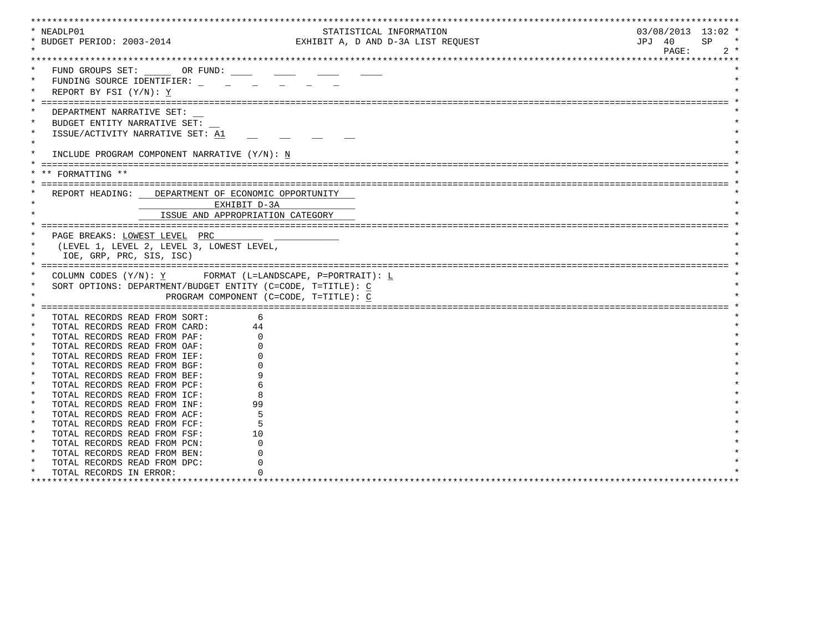| * NEADLP01 |                                                             |                                        | STATISTICAL INFORMATION            | $03/08/2013$ 13:02 * |
|------------|-------------------------------------------------------------|----------------------------------------|------------------------------------|----------------------|
|            | * BUDGET PERIOD: 2003-2014                                  |                                        | EXHIBIT A, D AND D-3A LIST REQUEST | JPJ 40<br>SP.        |
|            |                                                             |                                        |                                    | PAGE:<br>$2 *$       |
|            |                                                             |                                        |                                    |                      |
|            | FUND GROUPS SET: OR FUND:                                   |                                        |                                    |                      |
|            | FUNDING SOURCE IDENTIFIER:                                  |                                        |                                    |                      |
|            |                                                             |                                        |                                    |                      |
|            | REPORT BY FSI $(Y/N): Y$                                    |                                        |                                    |                      |
|            |                                                             |                                        |                                    |                      |
|            | DEPARTMENT NARRATIVE SET:                                   |                                        |                                    |                      |
| $\ast$     | BUDGET ENTITY NARRATIVE SET:                                |                                        |                                    |                      |
|            | ISSUE/ACTIVITY NARRATIVE SET: A1                            |                                        |                                    |                      |
| $\star$    |                                                             |                                        |                                    |                      |
|            | INCLUDE PROGRAM COMPONENT NARRATIVE (Y/N): N                |                                        |                                    |                      |
|            |                                                             |                                        |                                    |                      |
|            | FORMATTING **                                               |                                        |                                    |                      |
|            |                                                             |                                        |                                    |                      |
|            |                                                             |                                        |                                    |                      |
|            | REPORT HEADING: DEPARTMENT OF ECONOMIC OPPORTUNITY          |                                        |                                    |                      |
|            | EXHIBIT D-3A                                                |                                        |                                    |                      |
|            | ISSUE AND APPROPRIATION CATEGORY                            |                                        |                                    |                      |
|            |                                                             |                                        |                                    |                      |
|            | PAGE BREAKS: LOWEST LEVEL PRC                               |                                        |                                    |                      |
|            |                                                             |                                        |                                    |                      |
|            | (LEVEL 1, LEVEL 2, LEVEL 3, LOWEST LEVEL,                   |                                        |                                    |                      |
|            | IOE, GRP, PRC, SIS, ISC)                                    |                                        |                                    |                      |
|            |                                                             |                                        |                                    |                      |
|            |                                                             |                                        |                                    |                      |
|            | COLUMN CODES $(Y/N): Y$ FORMAT (L=LANDSCAPE, P=PORTRAIT): L |                                        |                                    |                      |
|            | SORT OPTIONS: DEPARTMENT/BUDGET ENTITY (C=CODE, T=TITLE): C |                                        |                                    |                      |
|            |                                                             | PROGRAM COMPONENT (C=CODE, T=TITLE): C |                                    |                      |
|            |                                                             |                                        |                                    |                      |
|            | TOTAL RECORDS READ FROM SORT:                               | 6                                      |                                    |                      |
|            | TOTAL RECORDS READ FROM CARD:                               | 44                                     |                                    |                      |
|            | TOTAL RECORDS READ FROM PAF:                                |                                        |                                    |                      |
| $\star$    | TOTAL RECORDS READ FROM OAF:                                |                                        |                                    |                      |
| $\star$    | TOTAL RECORDS READ FROM IEF:                                |                                        |                                    |                      |
| $\star$    | TOTAL RECORDS READ FROM BGF:                                |                                        |                                    |                      |
| $\star$    | TOTAL RECORDS READ FROM BEF:                                |                                        |                                    |                      |
| $\ast$     | TOTAL RECORDS READ FROM PCF:                                |                                        |                                    |                      |
| $\ast$     | TOTAL RECORDS READ FROM ICF:                                |                                        |                                    |                      |
| $\star$    | TOTAL RECORDS READ FROM INF:                                | 99                                     |                                    |                      |
| $\star$    | TOTAL RECORDS READ FROM ACF:                                |                                        |                                    |                      |
| $\star$    | TOTAL RECORDS READ FROM FCF:                                |                                        |                                    |                      |
| $\star$    | TOTAL RECORDS READ FROM FSF:                                | 10                                     |                                    |                      |
| $\star$    | TOTAL RECORDS READ FROM PCN:                                |                                        |                                    |                      |
|            | TOTAL RECORDS READ FROM BEN:                                |                                        |                                    |                      |
| $\star$    |                                                             |                                        |                                    |                      |
| $\ast$     | TOTAL RECORDS READ FROM DPC:<br>TOTAL RECORDS IN ERROR:     |                                        |                                    |                      |